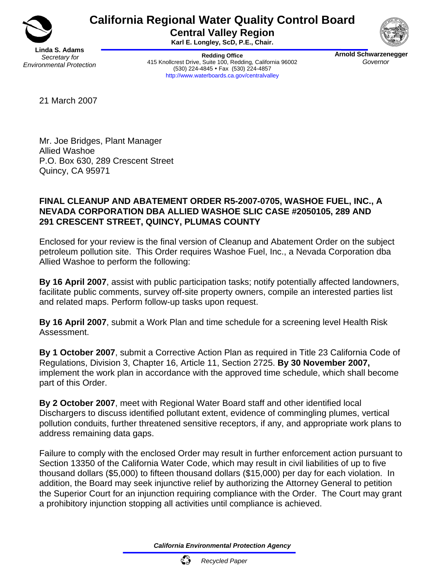

# **California Regional Water Quality Control Board**

**Central Valley Region Karl E. Longley, ScD, P.E., Chair.** 

**Redding Office**  415 Knollcrest Drive, Suite 100, Redding, California 96002 (530) 224-4845 • Fax (530) 224-4857 http://www.waterboards.ca.gov/centralvalley



**Arnold Schwarzenegger**  *Governor* 

21 March 2007

Mr. Joe Bridges, Plant Manager Allied Washoe P.O. Box 630, 289 Crescent Street Quincy, CA 95971

#### **FINAL CLEANUP AND ABATEMENT ORDER R5-2007-0705, WASHOE FUEL, INC., A NEVADA CORPORATION DBA ALLIED WASHOE SLIC CASE #2050105, 289 AND 291 CRESCENT STREET, QUINCY, PLUMAS COUNTY**

Enclosed for your review is the final version of Cleanup and Abatement Order on the subject petroleum pollution site. This Order requires Washoe Fuel, Inc., a Nevada Corporation dba Allied Washoe to perform the following:

**By 16 April 2007**, assist with public participation tasks; notify potentially affected landowners, facilitate public comments, survey off-site property owners, compile an interested parties list and related maps. Perform follow-up tasks upon request.

**By 16 April 2007**, submit a Work Plan and time schedule for a screening level Health Risk Assessment.

**By 1 October 2007**, submit a Corrective Action Plan as required in Title 23 California Code of Regulations, Division 3, Chapter 16, Article 11, Section 2725. **By 30 November 2007,**  implement the work plan in accordance with the approved time schedule, which shall become part of this Order.

**By 2 October 2007**, meet with Regional Water Board staff and other identified local Dischargers to discuss identified pollutant extent, evidence of commingling plumes, vertical pollution conduits, further threatened sensitive receptors, if any, and appropriate work plans to address remaining data gaps.

Failure to comply with the enclosed Order may result in further enforcement action pursuant to Section 13350 of the California Water Code, which may result in civil liabilities of up to five thousand dollars (\$5,000) to fifteen thousand dollars (\$15,000) per day for each violation. In addition, the Board may seek injunctive relief by authorizing the Attorney General to petition the Superior Court for an injunction requiring compliance with the Order. The Court may grant a prohibitory injunction stopping all activities until compliance is achieved.

*California Environmental Protection Agency*

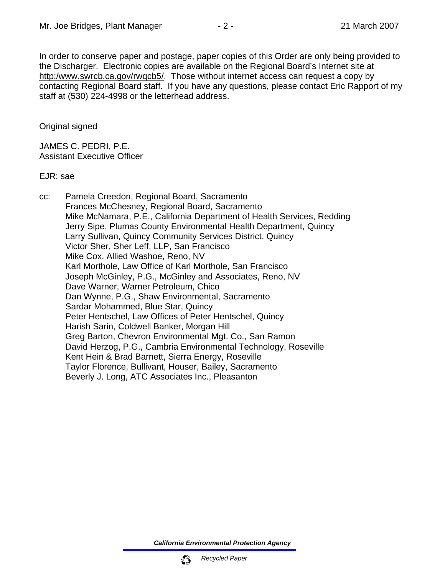In order to conserve paper and postage, paper copies of this Order are only being provided to the Discharger. Electronic copies are available on the Regional Board's Internet site at http:/www.swrcb.ca.gov/rwqcb5/. Those without internet access can request a copy by contacting Regional Board staff. If you have any questions, please contact Eric Rapport of my staff at (530) 224-4998 or the letterhead address.

Original signed

JAMES C. PEDRI, P.E. Assistant Executive Officer

EJR: sae

cc: Pamela Creedon, Regional Board, Sacramento Frances McChesney, Regional Board, Sacramento Mike McNamara, P.E., California Department of Health Services, Redding Jerry Sipe, Plumas County Environmental Health Department, Quincy Larry Sullivan, Quincy Community Services District, Quincy Victor Sher, Sher Leff, LLP, San Francisco Mike Cox, Allied Washoe, Reno, NV Karl Morthole, Law Office of Karl Morthole, San Francisco Joseph McGinley, P.G., McGinley and Associates, Reno, NV Dave Warner, Warner Petroleum, Chico Dan Wynne, P.G., Shaw Environmental, Sacramento Sardar Mohammed, Blue Star, Quincy Peter Hentschel, Law Offices of Peter Hentschel, Quincy Harish Sarin, Coldwell Banker, Morgan Hill Greg Barton, Chevron Environmental Mgt. Co., San Ramon David Herzog, P.G., Cambria Environmental Technology, Roseville Kent Hein & Brad Barnett, Sierra Energy, Roseville Taylor Florence, Bullivant, Houser, Bailey, Sacramento Beverly J. Long, ATC Associates Inc., Pleasanton

*California Environmental Protection Agency*

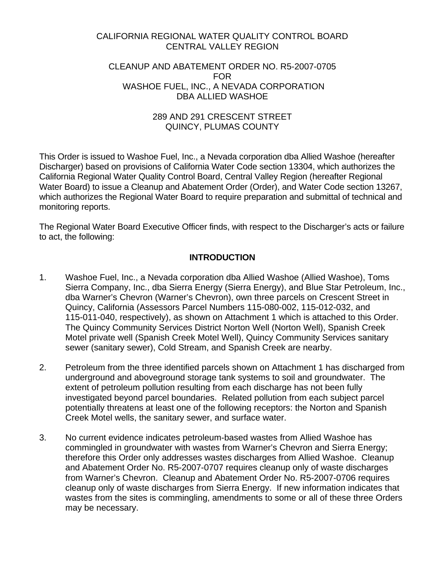#### CALIFORNIA REGIONAL WATER QUALITY CONTROL BOARD CENTRAL VALLEY REGION

#### CLEANUP AND ABATEMENT ORDER NO. R5-2007-0705 FOR WASHOE FUEL, INC., A NEVADA CORPORATION DBA ALLIED WASHOE

#### 289 AND 291 CRESCENT STREET QUINCY, PLUMAS COUNTY

This Order is issued to Washoe Fuel, Inc., a Nevada corporation dba Allied Washoe (hereafter Discharger) based on provisions of California Water Code section 13304, which authorizes the California Regional Water Quality Control Board, Central Valley Region (hereafter Regional Water Board) to issue a Cleanup and Abatement Order (Order), and Water Code section 13267, which authorizes the Regional Water Board to require preparation and submittal of technical and monitoring reports.

The Regional Water Board Executive Officer finds, with respect to the Discharger's acts or failure to act, the following:

## **INTRODUCTION**

- 1. Washoe Fuel, Inc., a Nevada corporation dba Allied Washoe (Allied Washoe), Toms Sierra Company, Inc., dba Sierra Energy (Sierra Energy), and Blue Star Petroleum, Inc., dba Warner's Chevron (Warner's Chevron), own three parcels on Crescent Street in Quincy, California (Assessors Parcel Numbers 115-080-002, 115-012-032, and 115-011-040, respectively), as shown on Attachment 1 which is attached to this Order. The Quincy Community Services District Norton Well (Norton Well), Spanish Creek Motel private well (Spanish Creek Motel Well), Quincy Community Services sanitary sewer (sanitary sewer), Cold Stream, and Spanish Creek are nearby.
- 2. Petroleum from the three identified parcels shown on Attachment 1 has discharged from underground and aboveground storage tank systems to soil and groundwater. The extent of petroleum pollution resulting from each discharge has not been fully investigated beyond parcel boundaries. Related pollution from each subject parcel potentially threatens at least one of the following receptors: the Norton and Spanish Creek Motel wells, the sanitary sewer, and surface water.
- 3. No current evidence indicates petroleum-based wastes from Allied Washoe has commingled in groundwater with wastes from Warner's Chevron and Sierra Energy; therefore this Order only addresses wastes discharges from Allied Washoe. Cleanup and Abatement Order No. R5-2007-0707 requires cleanup only of waste discharges from Warner's Chevron. Cleanup and Abatement Order No. R5-2007-0706 requires cleanup only of waste discharges from Sierra Energy. If new information indicates that wastes from the sites is commingling, amendments to some or all of these three Orders may be necessary.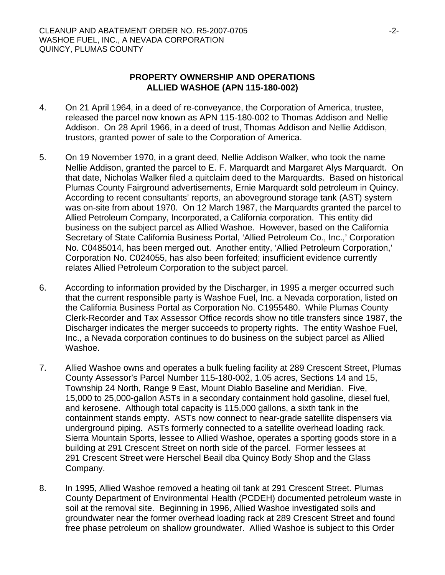#### **PROPERTY OWNERSHIP AND OPERATIONS ALLIED WASHOE (APN 115-180-002)**

- 4. On 21 April 1964, in a deed of re-conveyance, the Corporation of America, trustee, released the parcel now known as APN 115-180-002 to Thomas Addison and Nellie Addison. On 28 April 1966, in a deed of trust, Thomas Addison and Nellie Addison, trustors, granted power of sale to the Corporation of America.
- 5. On 19 November 1970, in a grant deed, Nellie Addison Walker, who took the name Nellie Addison, granted the parcel to E. F. Marquardt and Margaret Alys Marquardt. On that date, Nicholas Walker filed a quitclaim deed to the Marquardts. Based on historical Plumas County Fairground advertisements, Ernie Marquardt sold petroleum in Quincy. According to recent consultants' reports, an aboveground storage tank (AST) system was on-site from about 1970. On 12 March 1987, the Marquardts granted the parcel to Allied Petroleum Company, Incorporated, a California corporation. This entity did business on the subject parcel as Allied Washoe. However, based on the California Secretary of State California Business Portal, 'Allied Petroleum Co., Inc.,' Corporation No. C0485014, has been merged out. Another entity, 'Allied Petroleum Corporation,' Corporation No. C024055, has also been forfeited; insufficient evidence currently relates Allied Petroleum Corporation to the subject parcel.
- 6. According to information provided by the Discharger, in 1995 a merger occurred such that the current responsible party is Washoe Fuel, Inc. a Nevada corporation, listed on the California Business Portal as Corporation No. C1955480. While Plumas County Clerk-Recorder and Tax Assessor Office records show no title transfers since 1987, the Discharger indicates the merger succeeds to property rights. The entity Washoe Fuel, Inc., a Nevada corporation continues to do business on the subject parcel as Allied Washoe.
- 7. Allied Washoe owns and operates a bulk fueling facility at 289 Crescent Street, Plumas County Assessor's Parcel Number 115-180-002, 1.05 acres, Sections 14 and 15, Township 24 North, Range 9 East, Mount Diablo Baseline and Meridian. Five, 15,000 to 25,000-gallon ASTs in a secondary containment hold gasoline, diesel fuel, and kerosene. Although total capacity is 115,000 gallons, a sixth tank in the containment stands empty. ASTs now connect to near-grade satellite dispensers via underground piping. ASTs formerly connected to a satellite overhead loading rack. Sierra Mountain Sports, lessee to Allied Washoe, operates a sporting goods store in a building at 291 Crescent Street on north side of the parcel. Former lessees at 291 Crescent Street were Herschel Beail dba Quincy Body Shop and the Glass Company.
- 8. In 1995, Allied Washoe removed a heating oil tank at 291 Crescent Street. Plumas County Department of Environmental Health (PCDEH) documented petroleum waste in soil at the removal site. Beginning in 1996, Allied Washoe investigated soils and groundwater near the former overhead loading rack at 289 Crescent Street and found free phase petroleum on shallow groundwater. Allied Washoe is subject to this Order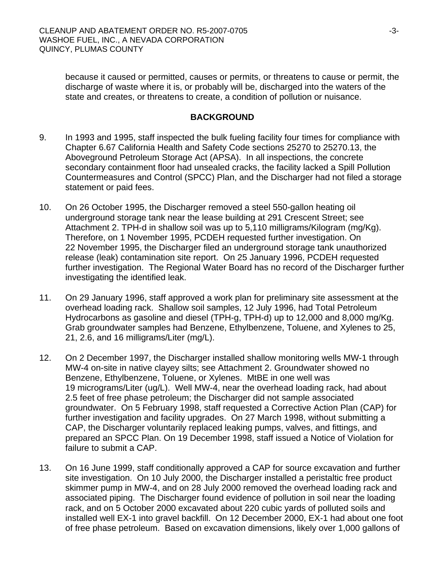because it caused or permitted, causes or permits, or threatens to cause or permit, the discharge of waste where it is, or probably will be, discharged into the waters of the state and creates, or threatens to create, a condition of pollution or nuisance.

#### **BACKGROUND**

- 9. In 1993 and 1995, staff inspected the bulk fueling facility four times for compliance with Chapter 6.67 California Health and Safety Code sections 25270 to 25270.13, the Aboveground Petroleum Storage Act (APSA). In all inspections, the concrete secondary containment floor had unsealed cracks, the facility lacked a Spill Pollution Countermeasures and Control (SPCC) Plan, and the Discharger had not filed a storage statement or paid fees.
- 10. On 26 October 1995, the Discharger removed a steel 550-gallon heating oil underground storage tank near the lease building at 291 Crescent Street; see Attachment 2. TPH-d in shallow soil was up to 5,110 milligrams/Kilogram (mg/Kg). Therefore, on 1 November 1995, PCDEH requested further investigation. On 22 November 1995, the Discharger filed an underground storage tank unauthorized release (leak) contamination site report. On 25 January 1996, PCDEH requested further investigation. The Regional Water Board has no record of the Discharger further investigating the identified leak.
- 11. On 29 January 1996, staff approved a work plan for preliminary site assessment at the overhead loading rack. Shallow soil samples, 12 July 1996, had Total Petroleum Hydrocarbons as gasoline and diesel (TPH-g, TPH-d) up to 12,000 and 8,000 mg/Kg. Grab groundwater samples had Benzene, Ethylbenzene, Toluene, and Xylenes to 25, 21, 2.6, and 16 milligrams/Liter (mg/L).
- 12. On 2 December 1997, the Discharger installed shallow monitoring wells MW-1 through MW-4 on-site in native clayey silts; see Attachment 2. Groundwater showed no Benzene, Ethylbenzene, Toluene, or Xylenes. MtBE in one well was 19 micrograms/Liter (ug/L). Well MW-4, near the overhead loading rack, had about 2.5 feet of free phase petroleum; the Discharger did not sample associated groundwater. On 5 February 1998, staff requested a Corrective Action Plan (CAP) for further investigation and facility upgrades. On 27 March 1998, without submitting a CAP, the Discharger voluntarily replaced leaking pumps, valves, and fittings, and prepared an SPCC Plan. On 19 December 1998, staff issued a Notice of Violation for failure to submit a CAP.
- 13. On 16 June 1999, staff conditionally approved a CAP for source excavation and further site investigation. On 10 July 2000, the Discharger installed a peristaltic free product skimmer pump in MW-4, and on 28 July 2000 removed the overhead loading rack and associated piping. The Discharger found evidence of pollution in soil near the loading rack, and on 5 October 2000 excavated about 220 cubic yards of polluted soils and installed well EX-1 into gravel backfill. On 12 December 2000, EX-1 had about one foot of free phase petroleum. Based on excavation dimensions, likely over 1,000 gallons of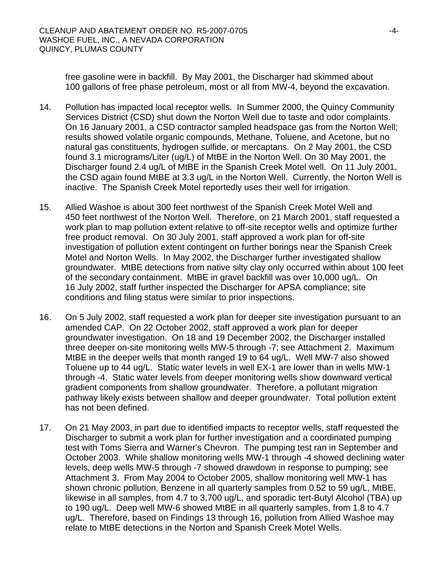free gasoline were in backfill. By May 2001, the Discharger had skimmed about 100 gallons of free phase petroleum, most or all from MW-4, beyond the excavation.

- 14. Pollution has impacted local receptor wells. In Summer 2000, the Quincy Community Services District (CSD) shut down the Norton Well due to taste and odor complaints. On 16 January 2001, a CSD contractor sampled headspace gas from the Norton Well; results showed volatile organic compounds, Methane, Toluene, and Acetone, but no natural gas constituents, hydrogen sulfide, or mercaptans. On 2 May 2001, the CSD found 3.1 micrograms/Liter (ug/L) of MtBE in the Norton Well. On 30 May 2001, the Discharger found 2.4 ug/L of MtBE in the Spanish Creek Motel well. On 11 July 2001, the CSD again found MtBE at 3.3 ug/L in the Norton Well. Currently, the Norton Well is inactive. The Spanish Creek Motel reportedly uses their well for irrigation.
- 15. Allied Washoe is about 300 feet northwest of the Spanish Creek Motel Well and 450 feet northwest of the Norton Well. Therefore, on 21 March 2001, staff requested a work plan to map pollution extent relative to off-site receptor wells and optimize further free product removal. On 30 July 2001, staff approved a work plan for off-site investigation of pollution extent contingent on further borings near the Spanish Creek Motel and Norton Wells. In May 2002, the Discharger further investigated shallow groundwater. MtBE detections from native silty clay only occurred within about 100 feet of the secondary containment. MtBE in gravel backfill was over 10,000 ug/L. On 16 July 2002, staff further inspected the Discharger for APSA compliance; site conditions and filing status were similar to prior inspections.
- 16. On 5 July 2002, staff requested a work plan for deeper site investigation pursuant to an amended CAP. On 22 October 2002, staff approved a work plan for deeper groundwater investigation. On 18 and 19 December 2002, the Discharger installed three deeper on-site monitoring wells MW-5 through -7; see Attachment 2. Maximum MtBE in the deeper wells that month ranged 19 to 64 ug/L. Well MW-7 also showed Toluene up to 44 ug/L. Static water levels in well EX-1 are lower than in wells MW-1 through -4. Static water levels from deeper monitoring wells show downward vertical gradient components from shallow groundwater. Therefore, a pollutant migration pathway likely exists between shallow and deeper groundwater. Total pollution extent has not been defined.
- 17. On 21 May 2003, in part due to identified impacts to receptor wells, staff requested the Discharger to submit a work plan for further investigation and a coordinated pumping test with Toms Sierra and Warner's Chevron. The pumping test ran in September and October 2003. While shallow monitoring wells MW-1 through -4 showed declining water levels, deep wells MW-5 through -7 showed drawdown in response to pumping; see Attachment 3. From May 2004 to October 2005, shallow monitoring well MW-1 has shown chronic pollution, Benzene in all quarterly samples from 0.52 to 59 ug/L, MtBE, likewise in all samples, from 4.7 to 3,700 ug/L, and sporadic tert-Butyl Alcohol (TBA) up to 190 ug/L. Deep well MW-6 showed MtBE in all quarterly samples, from 1.8 to 4.7 ug/L. Therefore, based on Findings 13 through 16, pollution from Allied Washoe may relate to MtBE detections in the Norton and Spanish Creek Motel Wells.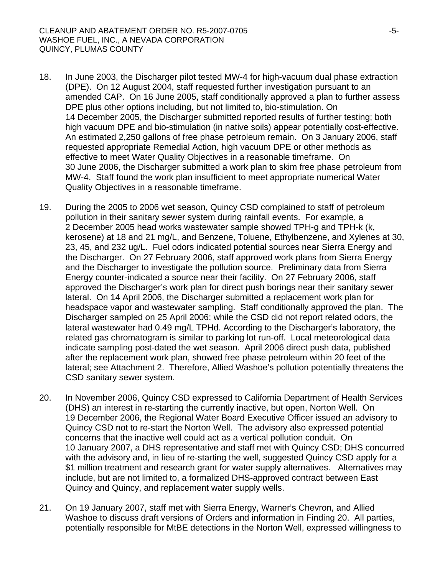- 18. In June 2003, the Discharger pilot tested MW-4 for high-vacuum dual phase extraction (DPE). On 12 August 2004, staff requested further investigation pursuant to an amended CAP. On 16 June 2005, staff conditionally approved a plan to further assess DPE plus other options including, but not limited to, bio-stimulation. On 14 December 2005, the Discharger submitted reported results of further testing; both high vacuum DPE and bio-stimulation (in native soils) appear potentially cost-effective. An estimated 2,250 gallons of free phase petroleum remain. On 3 January 2006, staff requested appropriate Remedial Action, high vacuum DPE or other methods as effective to meet Water Quality Objectives in a reasonable timeframe. On 30 June 2006, the Discharger submitted a work plan to skim free phase petroleum from MW-4. Staff found the work plan insufficient to meet appropriate numerical Water Quality Objectives in a reasonable timeframe.
- 19. During the 2005 to 2006 wet season, Quincy CSD complained to staff of petroleum pollution in their sanitary sewer system during rainfall events. For example, a 2 December 2005 head works wastewater sample showed TPH-g and TPH-k (k, kerosene) at 18 and 21 mg/L, and Benzene, Toluene, Ethylbenzene, and Xylenes at 30, 23, 45, and 232 ug/L. Fuel odors indicated potential sources near Sierra Energy and the Discharger. On 27 February 2006, staff approved work plans from Sierra Energy and the Discharger to investigate the pollution source. Preliminary data from Sierra Energy counter-indicated a source near their facility. On 27 February 2006, staff approved the Discharger's work plan for direct push borings near their sanitary sewer lateral. On 14 April 2006, the Discharger submitted a replacement work plan for headspace vapor and wastewater sampling. Staff conditionally approved the plan. The Discharger sampled on 25 April 2006; while the CSD did not report related odors, the lateral wastewater had 0.49 mg/L TPHd. According to the Discharger's laboratory, the related gas chromatogram is similar to parking lot run-off. Local meteorological data indicate sampling post-dated the wet season. April 2006 direct push data, published after the replacement work plan, showed free phase petroleum within 20 feet of the lateral; see Attachment 2. Therefore, Allied Washoe's pollution potentially threatens the CSD sanitary sewer system.
- 20. In November 2006, Quincy CSD expressed to California Department of Health Services (DHS) an interest in re-starting the currently inactive, but open, Norton Well. On 19 December 2006, the Regional Water Board Executive Officer issued an advisory to Quincy CSD not to re-start the Norton Well. The advisory also expressed potential concerns that the inactive well could act as a vertical pollution conduit. On 10 January 2007, a DHS representative and staff met with Quincy CSD; DHS concurred with the advisory and, in lieu of re-starting the well, suggested Quincy CSD apply for a \$1 million treatment and research grant for water supply alternatives. Alternatives may include, but are not limited to, a formalized DHS-approved contract between East Quincy and Quincy, and replacement water supply wells.
- 21. On 19 January 2007, staff met with Sierra Energy, Warner's Chevron, and Allied Washoe to discuss draft versions of Orders and information in Finding 20. All parties, potentially responsible for MtBE detections in the Norton Well, expressed willingness to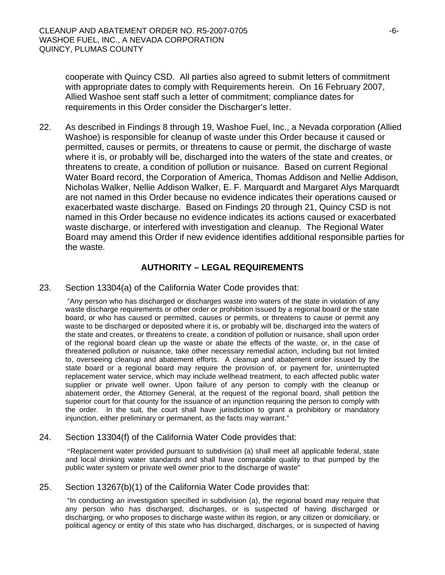cooperate with Quincy CSD. All parties also agreed to submit letters of commitment with appropriate dates to comply with Requirements herein. On 16 February 2007, Allied Washoe sent staff such a letter of commitment; compliance dates for requirements in this Order consider the Discharger's letter.

22. As described in Findings 8 through 19, Washoe Fuel, Inc., a Nevada corporation (Allied Washoe) is responsible for cleanup of waste under this Order because it caused or permitted, causes or permits, or threatens to cause or permit, the discharge of waste where it is, or probably will be, discharged into the waters of the state and creates, or threatens to create, a condition of pollution or nuisance. Based on current Regional Water Board record, the Corporation of America, Thomas Addison and Nellie Addison, Nicholas Walker, Nellie Addison Walker, E. F. Marquardt and Margaret Alys Marquardt are not named in this Order because no evidence indicates their operations caused or exacerbated waste discharge. Based on Findings 20 through 21, Quincy CSD is not named in this Order because no evidence indicates its actions caused or exacerbated waste discharge, or interfered with investigation and cleanup. The Regional Water Board may amend this Order if new evidence identifies additional responsible parties for the waste.

#### **AUTHORITY – LEGAL REQUIREMENTS**

23. Section 13304(a) of the California Water Code provides that:

 "Any person who has discharged or discharges waste into waters of the state in violation of any waste discharge requirements or other order or prohibition issued by a regional board or the state board, or who has caused or permitted, causes or permits, or threatens to cause or permit any waste to be discharged or deposited where it is, or probably will be, discharged into the waters of the state and creates, or threatens to create, a condition of pollution or nuisance, shall upon order of the regional board clean up the waste or abate the effects of the waste, or, in the case of threatened pollution or nuisance, take other necessary remedial action, including but not limited to, overseeing cleanup and abatement efforts. A cleanup and abatement order issued by the state board or a regional board may require the provision of, or payment for, uninterrupted replacement water service, which may include wellhead treatment, to each affected public water supplier or private well owner. Upon failure of any person to comply with the cleanup or abatement order, the Attorney General, at the request of the regional board, shall petition the superior court for that county for the issuance of an injunction requiring the person to comply with the order. In the suit, the court shall have jurisdiction to grant a prohibitory or mandatory injunction, either preliminary or permanent, as the facts may warrant."

#### 24. Section 13304(f) of the California Water Code provides that:

 "Replacement water provided pursuant to subdivision (a) shall meet all applicable federal, state and local drinking water standards and shall have comparable quality to that pumped by the public water system or private well owner prior to the discharge of waste"

#### 25. Section 13267(b)(1) of the California Water Code provides that:

 "In conducting an investigation specified in subdivision (a), the regional board may require that any person who has discharged, discharges, or is suspected of having discharged or discharging, or who proposes to discharge waste within its region, or any citizen or domiciliary, or political agency or entity of this state who has discharged, discharges, or is suspected of having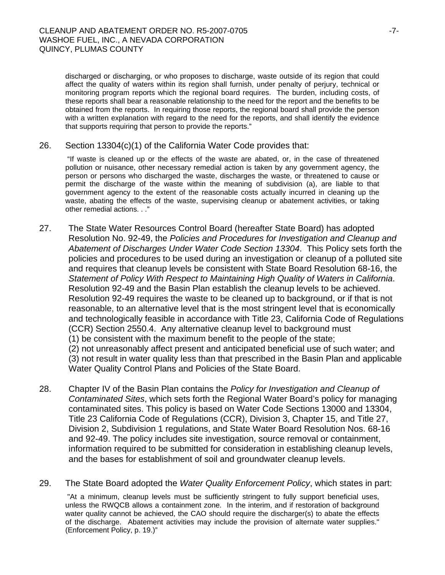discharged or discharging, or who proposes to discharge, waste outside of its region that could affect the quality of waters within its region shall furnish, under penalty of perjury, technical or monitoring program reports which the regional board requires. The burden, including costs, of these reports shall bear a reasonable relationship to the need for the report and the benefits to be obtained from the reports. In requiring those reports, the regional board shall provide the person with a written explanation with regard to the need for the reports, and shall identify the evidence that supports requiring that person to provide the reports."

#### 26. Section 13304(c)(1) of the California Water Code provides that:

 "If waste is cleaned up or the effects of the waste are abated, or, in the case of threatened pollution or nuisance, other necessary remedial action is taken by any government agency, the person or persons who discharged the waste, discharges the waste, or threatened to cause or permit the discharge of the waste within the meaning of subdivision (a), are liable to that government agency to the extent of the reasonable costs actually incurred in cleaning up the waste, abating the effects of the waste, supervising cleanup or abatement activities, or taking other remedial actions. . ."

27. The State Water Resources Control Board (hereafter State Board) has adopted Resolution No. 92-49, the *Policies and Procedures for Investigation and Cleanup and Abatement of Discharges Under Water Code Section 13304*. This Policy sets forth the policies and procedures to be used during an investigation or cleanup of a polluted site and requires that cleanup levels be consistent with State Board Resolution 68-16, the *Statement of Policy With Respect to Maintaining High Quality of Waters in California*. Resolution 92-49 and the Basin Plan establish the cleanup levels to be achieved. Resolution 92-49 requires the waste to be cleaned up to background, or if that is not reasonable, to an alternative level that is the most stringent level that is economically and technologically feasible in accordance with Title 23, California Code of Regulations (CCR) Section 2550.4. Any alternative cleanup level to background must (1) be consistent with the maximum benefit to the people of the state; (2) not unreasonably affect present and anticipated beneficial use of such water; and

(3) not result in water quality less than that prescribed in the Basin Plan and applicable Water Quality Control Plans and Policies of the State Board.

28. Chapter IV of the Basin Plan contains the *Policy for Investigation and Cleanup of Contaminated Sites*, which sets forth the Regional Water Board's policy for managing contaminated sites. This policy is based on Water Code Sections 13000 and 13304, Title 23 California Code of Regulations (CCR), Division 3, Chapter 15, and Title 27, Division 2, Subdivision 1 regulations, and State Water Board Resolution Nos. 68-16 and 92-49. The policy includes site investigation, source removal or containment, information required to be submitted for consideration in establishing cleanup levels, and the bases for establishment of soil and groundwater cleanup levels.

29. The State Board adopted the *Water Quality Enforcement Policy*, which states in part:

 "At a minimum, cleanup levels must be sufficiently stringent to fully support beneficial uses, unless the RWQCB allows a containment zone. In the interim, and if restoration of background water quality cannot be achieved, the CAO should require the discharger(s) to abate the effects of the discharge. Abatement activities may include the provision of alternate water supplies." (Enforcement Policy, p. 19.)"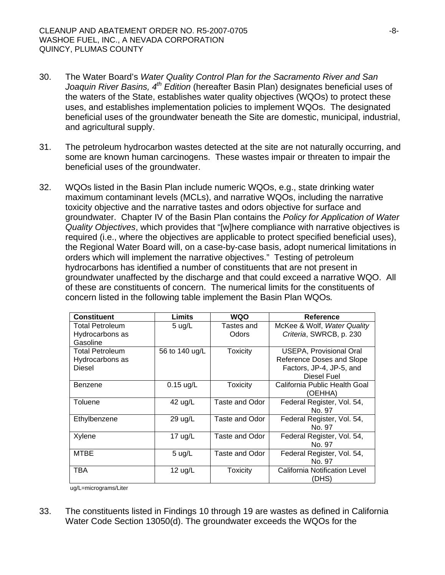- 30. The Water Board's *Water Quality Control Plan for the Sacramento River and San Joaquin River Basins, 4th Edition* (hereafter Basin Plan) designates beneficial uses of the waters of the State, establishes water quality objectives (WQOs) to protect these uses, and establishes implementation policies to implement WQOs. The designated beneficial uses of the groundwater beneath the Site are domestic, municipal, industrial, and agricultural supply.
- 31. The petroleum hydrocarbon wastes detected at the site are not naturally occurring, and some are known human carcinogens. These wastes impair or threaten to impair the beneficial uses of the groundwater.
- 32. WQOs listed in the Basin Plan include numeric WQOs, e.g., state drinking water maximum contaminant levels (MCLs), and narrative WQOs, including the narrative toxicity objective and the narrative tastes and odors objective for surface and groundwater. Chapter IV of the Basin Plan contains the *Policy for Application of Water Quality Objectives*, which provides that "[w]here compliance with narrative objectives is required (i.e., where the objectives are applicable to protect specified beneficial uses), the Regional Water Board will, on a case-by-case basis, adopt numerical limitations in orders which will implement the narrative objectives." Testing of petroleum hydrocarbons has identified a number of constituents that are not present in groundwater unaffected by the discharge and that could exceed a narrative WQO. All of these are constituents of concern. The numerical limits for the constituents of concern listed in the following table implement the Basin Plan WQOs*.*

| <b>Constituent</b>     | Limits           | <b>WQO</b>      | <b>Reference</b>               |
|------------------------|------------------|-----------------|--------------------------------|
| <b>Total Petroleum</b> | $5 \text{ u}g/L$ | Tastes and      | McKee & Wolf, Water Quality    |
| Hydrocarbons as        |                  | Odors           | Criteria, SWRCB, p. 230        |
| Gasoline               |                  |                 |                                |
| <b>Total Petroleum</b> | 56 to 140 ug/L   | <b>Toxicity</b> | <b>USEPA, Provisional Oral</b> |
| Hydrocarbons as        |                  |                 | Reference Doses and Slope      |
| Diesel                 |                  |                 | Factors, JP-4, JP-5, and       |
|                        |                  |                 | Diesel Fuel                    |
| Benzene                | $0.15$ ug/L      | <b>Toxicity</b> | California Public Health Goal  |
|                        |                  |                 | (OEHHA)                        |
| Toluene                | 42 ug/L          | Taste and Odor  | Federal Register, Vol. 54,     |
|                        |                  |                 | No. 97                         |
| Ethylbenzene           | 29 ug/L          | Taste and Odor  | Federal Register, Vol. 54,     |
|                        |                  |                 | No. 97                         |
| Xylene                 | 17 $ug/L$        | Taste and Odor  | Federal Register, Vol. 54,     |
|                        |                  |                 | No. 97                         |
| <b>MTBE</b>            | $5 \text{ u}g/L$ | Taste and Odor  | Federal Register, Vol. 54,     |
|                        |                  |                 | No. 97                         |
| TBA                    | 12 $\mu$ g/L     | Toxicity        | California Notification Level  |
|                        |                  |                 | (DHS)                          |

ug/L=micrograms/Liter

33. The constituents listed in Findings 10 through 19 are wastes as defined in California Water Code Section 13050(d). The groundwater exceeds the WQOs for the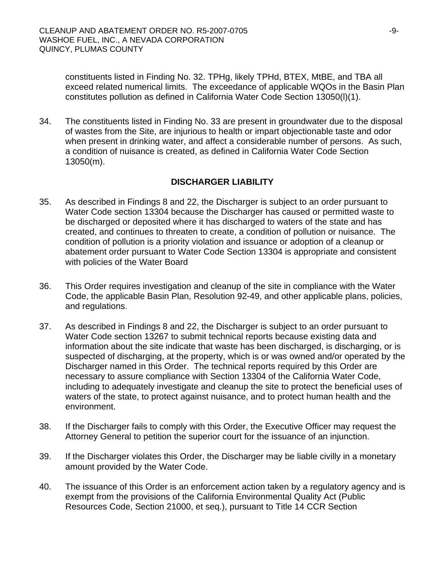constituents listed in Finding No. 32. TPHg, likely TPHd, BTEX, MtBE, and TBA all exceed related numerical limits.The exceedance of applicable WQOs in the Basin Plan constitutes pollution as defined in California Water Code Section 13050(l)(1).

34. The constituents listed in Finding No. 33 are present in groundwater due to the disposal of wastes from the Site, are injurious to health or impart objectionable taste and odor when present in drinking water, and affect a considerable number of persons. As such, a condition of nuisance is created, as defined in California Water Code Section 13050(m).

## **DISCHARGER LIABILITY**

- 35. As described in Findings 8 and 22, the Discharger is subject to an order pursuant to Water Code section 13304 because the Discharger has caused or permitted waste to be discharged or deposited where it has discharged to waters of the state and has created, and continues to threaten to create, a condition of pollution or nuisance. The condition of pollution is a priority violation and issuance or adoption of a cleanup or abatement order pursuant to Water Code Section 13304 is appropriate and consistent with policies of the Water Board
- 36. This Order requires investigation and cleanup of the site in compliance with the Water Code, the applicable Basin Plan, Resolution 92-49, and other applicable plans, policies, and regulations.
- 37. As described in Findings 8 and 22, the Discharger is subject to an order pursuant to Water Code section 13267 to submit technical reports because existing data and information about the site indicate that waste has been discharged, is discharging, or is suspected of discharging, at the property, which is or was owned and/or operated by the Discharger named in this Order. The technical reports required by this Order are necessary to assure compliance with Section 13304 of the California Water Code, including to adequately investigate and cleanup the site to protect the beneficial uses of waters of the state, to protect against nuisance, and to protect human health and the environment.
- 38. If the Discharger fails to comply with this Order, the Executive Officer may request the Attorney General to petition the superior court for the issuance of an injunction.
- 39. If the Discharger violates this Order, the Discharger may be liable civilly in a monetary amount provided by the Water Code.
- 40. The issuance of this Order is an enforcement action taken by a regulatory agency and is exempt from the provisions of the California Environmental Quality Act (Public Resources Code, Section 21000, et seq.), pursuant to Title 14 CCR Section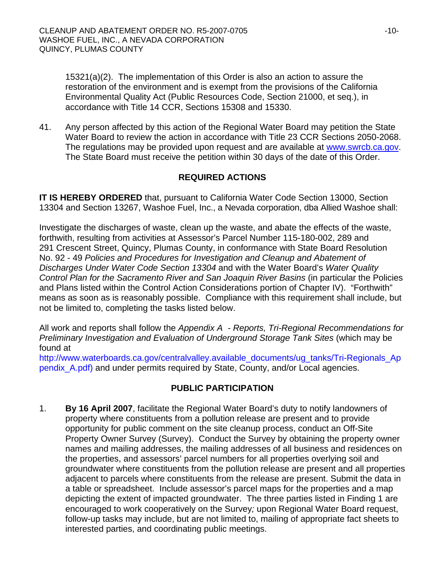15321(a)(2). The implementation of this Order is also an action to assure the restoration of the environment and is exempt from the provisions of the California Environmental Quality Act (Public Resources Code, Section 21000, et seq.), in accordance with Title 14 CCR, Sections 15308 and 15330.

41. Any person affected by this action of the Regional Water Board may petition the State Water Board to review the action in accordance with Title 23 CCR Sections 2050-2068. The regulations may be provided upon request and are available at [www.swrcb.ca.gov.](http://www.swrcb.ca.gov/) The State Board must receive the petition within 30 days of the date of this Order.

## **REQUIRED ACTIONS**

**IT IS HEREBY ORDERED** that, pursuant to California Water Code Section 13000, Section 13304 and Section 13267, Washoe Fuel, Inc., a Nevada corporation, dba Allied Washoe shall:

Investigate the discharges of waste, clean up the waste, and abate the effects of the waste, forthwith, resulting from activities at Assessor's Parcel Number 115-180-002, 289 and 291 Crescent Street, Quincy, Plumas County, in conformance with State Board Resolution No. 92 - 49 *Policies and Procedures for Investigation and Cleanup and Abatement of Discharges Under Water Code Section 13304* and with the Water Board's *Water Quality Control Plan for the Sacramento River and San Joaquin River Basins* (in particular the Policies and Plans listed within the Control Action Considerations portion of Chapter IV). "Forthwith" means as soon as is reasonably possible. Compliance with this requirement shall include, but not be limited to, completing the tasks listed below.

All work and reports shall follow the *Appendix A - Reports, Tri-Regional Recommendations for Preliminary Investigation and Evaluation of Underground Storage Tank Sites* (which may be found at

http://www.waterboards.ca.gov/centralvalley.available\_documents/ug\_tanks/Tri-Regionals\_Ap pendix\_A.pdf) and under permits required by State, County, and/or Local agencies.

## **PUBLIC PARTICIPATION**

1. **By 16 April 2007**, facilitate the Regional Water Board's duty to notify landowners of property where constituents from a pollution release are present and to provide opportunity for public comment on the site cleanup process, conduct an Off-Site Property Owner Survey (Survey). Conduct the Survey by obtaining the property owner names and mailing addresses, the mailing addresses of all business and residences on the properties, and assessors' parcel numbers for all properties overlying soil and groundwater where constituents from the pollution release are present and all properties adjacent to parcels where constituents from the release are present. Submit the data in a table or spreadsheet. Include assessor's parcel maps for the properties and a map depicting the extent of impacted groundwater. The three parties listed in Finding 1 are encouraged to work cooperatively on the Survey*;* upon Regional Water Board request, follow-up tasks may include, but are not limited to, mailing of appropriate fact sheets to interested parties, and coordinating public meetings.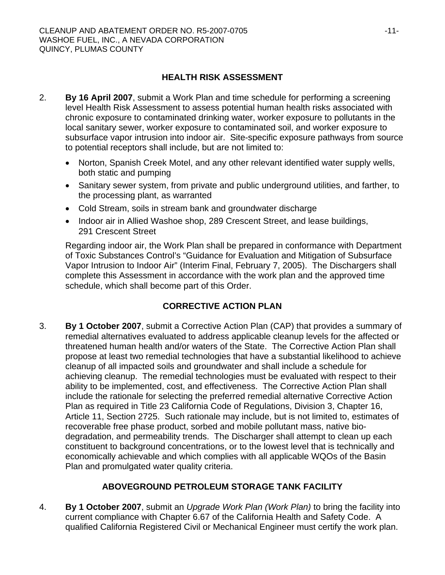## **HEALTH RISK ASSESSMENT**

- 2. **By 16 April 2007**, submit a Work Plan and time schedule for performing a screening level Health Risk Assessment to assess potential human health risks associated with chronic exposure to contaminated drinking water, worker exposure to pollutants in the local sanitary sewer, worker exposure to contaminated soil, and worker exposure to subsurface vapor intrusion into indoor air. Site-specific exposure pathways from source to potential receptors shall include, but are not limited to:
	- Norton, Spanish Creek Motel, and any other relevant identified water supply wells, both static and pumping
	- Sanitary sewer system, from private and public underground utilities, and farther, to the processing plant, as warranted
	- Cold Stream, soils in stream bank and groundwater discharge
	- Indoor air in Allied Washoe shop, 289 Crescent Street, and lease buildings, 291 Crescent Street

Regarding indoor air, the Work Plan shall be prepared in conformance with Department of Toxic Substances Control's "Guidance for Evaluation and Mitigation of Subsurface Vapor Intrusion to Indoor Air" (Interim Final, February 7, 2005). The Dischargers shall complete this Assessment in accordance with the work plan and the approved time schedule, which shall become part of this Order.

# **CORRECTIVE ACTION PLAN**

3. **By 1 October 2007**, submit a Corrective Action Plan (CAP) that provides a summary of remedial alternatives evaluated to address applicable cleanup levels for the affected or threatened human health and/or waters of the State. The Corrective Action Plan shall propose at least two remedial technologies that have a substantial likelihood to achieve cleanup of all impacted soils and groundwater and shall include a schedule for achieving cleanup. The remedial technologies must be evaluated with respect to their ability to be implemented, cost, and effectiveness. The Corrective Action Plan shall include the rationale for selecting the preferred remedial alternative Corrective Action Plan as required in Title 23 California Code of Regulations, Division 3, Chapter 16, Article 11, Section 2725. Such rationale may include, but is not limited to, estimates of recoverable free phase product, sorbed and mobile pollutant mass, native biodegradation, and permeability trends. The Discharger shall attempt to clean up each constituent to background concentrations, or to the lowest level that is technically and economically achievable and which complies with all applicable WQOs of the Basin Plan and promulgated water quality criteria.

# **ABOVEGROUND PETROLEUM STORAGE TANK FACILITY**

4. **By 1 October 2007**, submit an *Upgrade Work Plan (Work Plan)* to bring the facility into current compliance with Chapter 6.67 of the California Health and Safety Code. A qualified California Registered Civil or Mechanical Engineer must certify the work plan.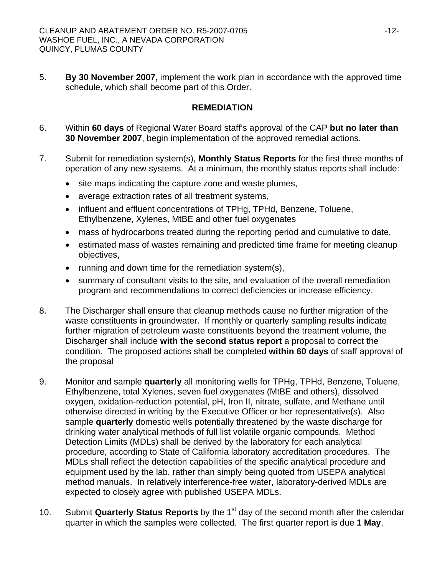5. **By 30 November 2007,** implement the work plan in accordance with the approved time schedule, which shall become part of this Order.

#### **REMEDIATION**

- 6. Within **60 days** of Regional Water Board staff's approval of the CAP **but no later than 30 November 2007**, begin implementation of the approved remedial actions.
- 7. Submit for remediation system(s), **Monthly Status Reports** for the first three months of operation of any new systems. At a minimum, the monthly status reports shall include:
	- site maps indicating the capture zone and waste plumes,
	- average extraction rates of all treatment systems,
	- influent and effluent concentrations of TPHg, TPHd, Benzene, Toluene, Ethylbenzene, Xylenes, MtBE and other fuel oxygenates
	- mass of hydrocarbons treated during the reporting period and cumulative to date,
	- estimated mass of wastes remaining and predicted time frame for meeting cleanup objectives,
	- running and down time for the remediation system(s),
	- summary of consultant visits to the site, and evaluation of the overall remediation program and recommendations to correct deficiencies or increase efficiency.
- 8. The Discharger shall ensure that cleanup methods cause no further migration of the waste constituents in groundwater. If monthly or quarterly sampling results indicate further migration of petroleum waste constituents beyond the treatment volume, the Discharger shall include **with the second status report** a proposal to correct the condition. The proposed actions shall be completed **within 60 days** of staff approval of the proposal
- 9. Monitor and sample **quarterly** all monitoring wells for TPHg, TPHd, Benzene, Toluene, Ethylbenzene, total Xylenes, seven fuel oxygenates (MtBE and others), dissolved oxygen, oxidation-reduction potential, pH, Iron II, nitrate, sulfate, and Methane until otherwise directed in writing by the Executive Officer or her representative(s). Also sample **quarterly** domestic wells potentially threatened by the waste discharge for drinking water analytical methods of full list volatile organic compounds. Method Detection Limits (MDLs) shall be derived by the laboratory for each analytical procedure, according to State of California laboratory accreditation procedures. The MDLs shall reflect the detection capabilities of the specific analytical procedure and equipment used by the lab, rather than simply being quoted from USEPA analytical method manuals. In relatively interference-free water, laboratory-derived MDLs are expected to closely agree with published USEPA MDLs.
- 10. Submit **Quarterly Status Reports** by the 1st day of the second month after the calendar quarter in which the samples were collected. The first quarter report is due **1 May**,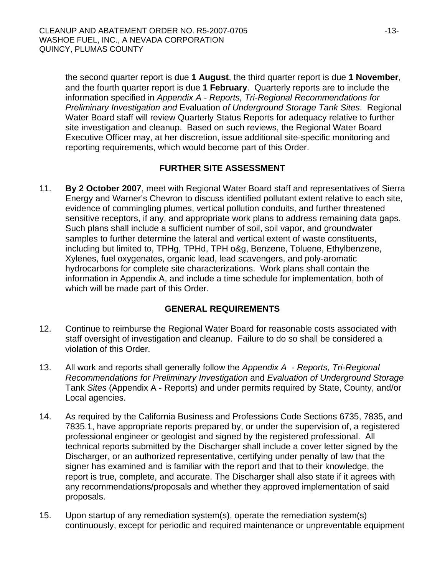the second quarter report is due **1 August**, the third quarter report is due **1 November**, and the fourth quarter report is due **1 February**. Quarterly reports are to include the information specified in *Appendix A - Reports, Tri-Regional Recommendations for Preliminary Investigation and* Evaluation *of Underground Storage Tank Sites*. Regional Water Board staff will review Quarterly Status Reports for adequacy relative to further site investigation and cleanup. Based on such reviews, the Regional Water Board Executive Officer may, at her discretion, issue additional site-specific monitoring and reporting requirements, which would become part of this Order.

#### **FURTHER SITE ASSESSMENT**

11. **By 2 October 2007**, meet with Regional Water Board staff and representatives of Sierra Energy and Warner's Chevron to discuss identified pollutant extent relative to each site, evidence of commingling plumes, vertical pollution conduits, and further threatened sensitive receptors, if any, and appropriate work plans to address remaining data gaps. Such plans shall include a sufficient number of soil, soil vapor, and groundwater samples to further determine the lateral and vertical extent of waste constituents, including but limited to, TPHg, TPHd, TPH o&g, Benzene, Toluene, Ethylbenzene, Xylenes, fuel oxygenates, organic lead, lead scavengers, and poly-aromatic hydrocarbons for complete site characterizations. Work plans shall contain the information in Appendix A, and include a time schedule for implementation, both of which will be made part of this Order.

## **GENERAL REQUIREMENTS**

- 12. Continue to reimburse the Regional Water Board for reasonable costs associated with staff oversight of investigation and cleanup. Failure to do so shall be considered a violation of this Order.
- 13. All work and reports shall generally follow the *Appendix A Reports, Tri-Regional Recommendations for Preliminary Investigation* and *Evaluation of Underground Storage*  Tank *Sites* (Appendix A - Reports) and under permits required by State, County, and/or Local agencies.
- 14. As required by the California Business and Professions Code Sections 6735, 7835, and 7835.1, have appropriate reports prepared by, or under the supervision of, a registered professional engineer or geologist and signed by the registered professional. All technical reports submitted by the Discharger shall include a cover letter signed by the Discharger, or an authorized representative, certifying under penalty of law that the signer has examined and is familiar with the report and that to their knowledge, the report is true, complete, and accurate. The Discharger shall also state if it agrees with any recommendations/proposals and whether they approved implementation of said proposals.
- 15. Upon startup of any remediation system(s), operate the remediation system(s) continuously, except for periodic and required maintenance or unpreventable equipment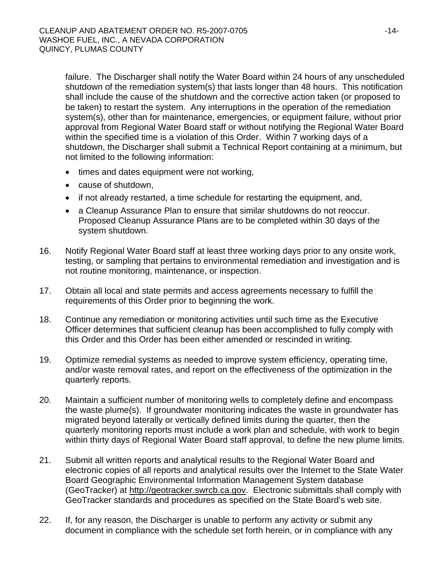failure. The Discharger shall notify the Water Board within 24 hours of any unscheduled shutdown of the remediation system(s) that lasts longer than 48 hours. This notification shall include the cause of the shutdown and the corrective action taken (or proposed to be taken) to restart the system. Any interruptions in the operation of the remediation system(s), other than for maintenance, emergencies, or equipment failure, without prior approval from Regional Water Board staff or without notifying the Regional Water Board within the specified time is a violation of this Order. Within 7 working days of a shutdown, the Discharger shall submit a Technical Report containing at a minimum, but not limited to the following information:

- times and dates equipment were not working,
- cause of shutdown,
- if not already restarted, a time schedule for restarting the equipment, and,
- a Cleanup Assurance Plan to ensure that similar shutdowns do not reoccur. Proposed Cleanup Assurance Plans are to be completed within 30 days of the system shutdown.
- 16. Notify Regional Water Board staff at least three working days prior to any onsite work, testing, or sampling that pertains to environmental remediation and investigation and is not routine monitoring, maintenance, or inspection.
- 17. Obtain all local and state permits and access agreements necessary to fulfill the requirements of this Order prior to beginning the work.
- 18. Continue any remediation or monitoring activities until such time as the Executive Officer determines that sufficient cleanup has been accomplished to fully comply with this Order and this Order has been either amended or rescinded in writing.
- 19. Optimize remedial systems as needed to improve system efficiency, operating time, and/or waste removal rates, and report on the effectiveness of the optimization in the quarterly reports.
- 20. Maintain a sufficient number of monitoring wells to completely define and encompass the waste plume(s). If groundwater monitoring indicates the waste in groundwater has migrated beyond laterally or vertically defined limits during the quarter, then the quarterly monitoring reports must include a work plan and schedule, with work to begin within thirty days of Regional Water Board staff approval, to define the new plume limits.
- 21. Submit all written reports and analytical results to the Regional Water Board and electronic copies of all reports and analytical results over the Internet to the State Water Board Geographic Environmental Information Management System database (GeoTracker) at [http://geotracker.swrcb.ca.gov](http://geotracker.swrcb.ca.gov/). Electronic submittals shall comply with GeoTracker standards and procedures as specified on the State Board's web site.
- 22. If, for any reason, the Discharger is unable to perform any activity or submit any document in compliance with the schedule set forth herein, or in compliance with any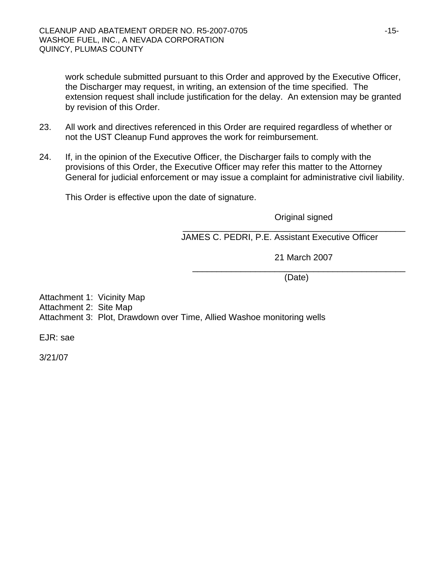work schedule submitted pursuant to this Order and approved by the Executive Officer, the Discharger may request, in writing, an extension of the time specified. The extension request shall include justification for the delay. An extension may be granted by revision of this Order.

- 23. All work and directives referenced in this Order are required regardless of whether or not the UST Cleanup Fund approves the work for reimbursement.
- 24. If, in the opinion of the Executive Officer, the Discharger fails to comply with the provisions of this Order, the Executive Officer may refer this matter to the Attorney General for judicial enforcement or may issue a complaint for administrative civil liability.

This Order is effective upon the date of signature.

Original signed

\_\_\_\_\_\_\_\_\_\_\_\_\_\_\_\_\_\_\_\_\_\_\_\_\_\_\_\_\_\_\_\_\_\_\_\_\_\_\_\_\_\_\_\_\_\_ JAMES C. PEDRI, P.E. Assistant Executive Officer

21 March 2007

\_\_\_\_\_\_\_\_\_\_\_\_\_\_\_\_\_\_\_\_\_\_\_\_\_\_\_\_\_\_\_\_\_\_\_\_\_\_\_\_\_\_\_\_ (Date)

Attachment 1: Vicinity Map Attachment 2: Site Map Attachment 3: Plot, Drawdown over Time, Allied Washoe monitoring wells

EJR: sae

3/21/07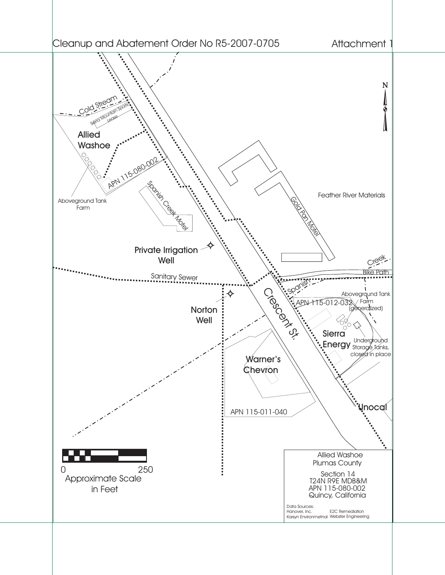# Cleanup and Abatement Order No R5-2007-0705

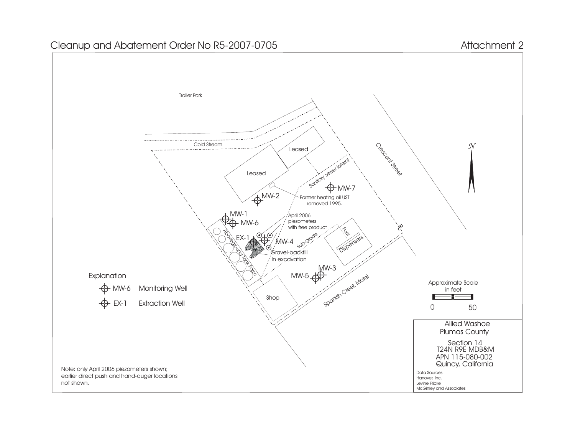# Cleanup and Abatement Order No R5-2007-0705